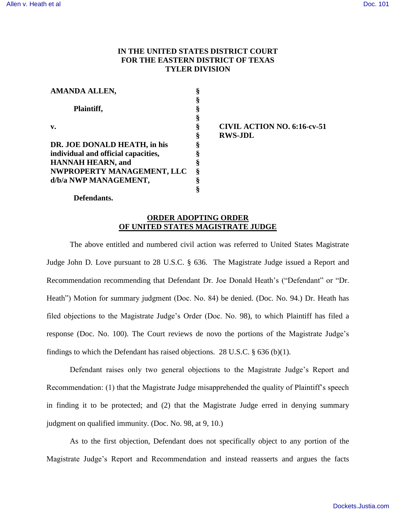# **IN THE UNITED STATES DISTRICT COURT FOR THE EASTERN DISTRICT OF TEXAS TYLER DIVISION**

| <b>AMANDA ALLEN,</b>                |   |
|-------------------------------------|---|
|                                     |   |
| Plaintiff,                          | ş |
|                                     | § |
| v.                                  | § |
|                                     | § |
| DR. JOE DONALD HEATH, in his        | § |
| individual and official capacities, | ş |
| <b>HANNAH HEARN, and</b>            | § |
| NWPROPERTY MANAGEMENT, LLC          | § |
| d/b/a NWP MANAGEMENT,               | 8 |
|                                     |   |

## **§ CIVIL ACTION NO. 6:16-cv-51 § RWS-JDL**

#### **Defendants.**

### **ORDER ADOPTING ORDER OF UNITED STATES MAGISTRATE JUDGE**

The above entitled and numbered civil action was referred to United States Magistrate Judge John D. Love pursuant to 28 U.S.C. § 636. The Magistrate Judge issued a Report and Recommendation recommending that Defendant Dr. Joe Donald Heath's ("Defendant" or "Dr. Heath") Motion for summary judgment (Doc. No. 84) be denied. (Doc. No. 94.) Dr. Heath has filed objections to the Magistrate Judge's Order (Doc. No. 98), to which Plaintiff has filed a response (Doc. No. 100). The Court reviews de novo the portions of the Magistrate Judge's findings to which the Defendant has raised objections. 28 U.S.C. § 636 (b)(1).

Defendant raises only two general objections to the Magistrate Judge's Report and Recommendation: (1) that the Magistrate Judge misapprehended the quality of Plaintiff's speech in finding it to be protected; and (2) that the Magistrate Judge erred in denying summary judgment on qualified immunity. (Doc. No. 98, at 9, 10.)

As to the first objection, Defendant does not specifically object to any portion of the Magistrate Judge's Report and Recommendation and instead reasserts and argues the facts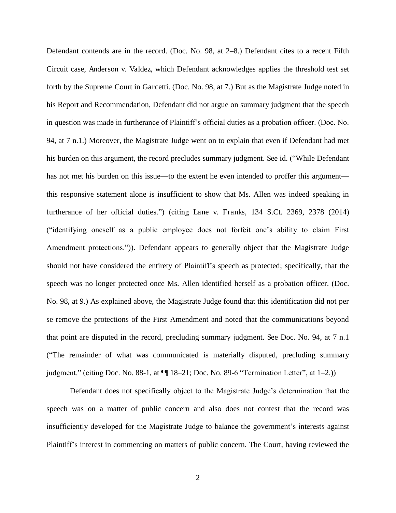Defendant contends are in the record. (Doc. No. 98, at 2–8.) Defendant cites to a recent Fifth Circuit case, Anderson v. Valdez, which Defendant acknowledges applies the threshold test set forth by the Supreme Court in Garcetti. (Doc. No. 98, at 7.) But as the Magistrate Judge noted in his Report and Recommendation, Defendant did not argue on summary judgment that the speech in question was made in furtherance of Plaintiff's official duties as a probation officer. (Doc. No. 94, at 7 n.1.) Moreover, the Magistrate Judge went on to explain that even if Defendant had met his burden on this argument, the record precludes summary judgment. See id. ("While Defendant has not met his burden on this issue—to the extent he even intended to proffer this argument this responsive statement alone is insufficient to show that Ms. Allen was indeed speaking in furtherance of her official duties.") (citing Lane v. Franks, 134 S.Ct. 2369, 2378 (2014) ("identifying oneself as a public employee does not forfeit one's ability to claim First Amendment protections.")). Defendant appears to generally object that the Magistrate Judge should not have considered the entirety of Plaintiff's speech as protected; specifically, that the speech was no longer protected once Ms. Allen identified herself as a probation officer. (Doc. No. 98, at 9.) As explained above, the Magistrate Judge found that this identification did not per se remove the protections of the First Amendment and noted that the communications beyond that point are disputed in the record, precluding summary judgment. See Doc. No. 94, at 7 n.1 ("The remainder of what was communicated is materially disputed, precluding summary judgment." (citing Doc. No. 88-1, at ¶¶ 18–21; Doc. No. 89-6 "Termination Letter", at 1–2.))

Defendant does not specifically object to the Magistrate Judge's determination that the speech was on a matter of public concern and also does not contest that the record was insufficiently developed for the Magistrate Judge to balance the government's interests against Plaintiff's interest in commenting on matters of public concern. The Court, having reviewed the